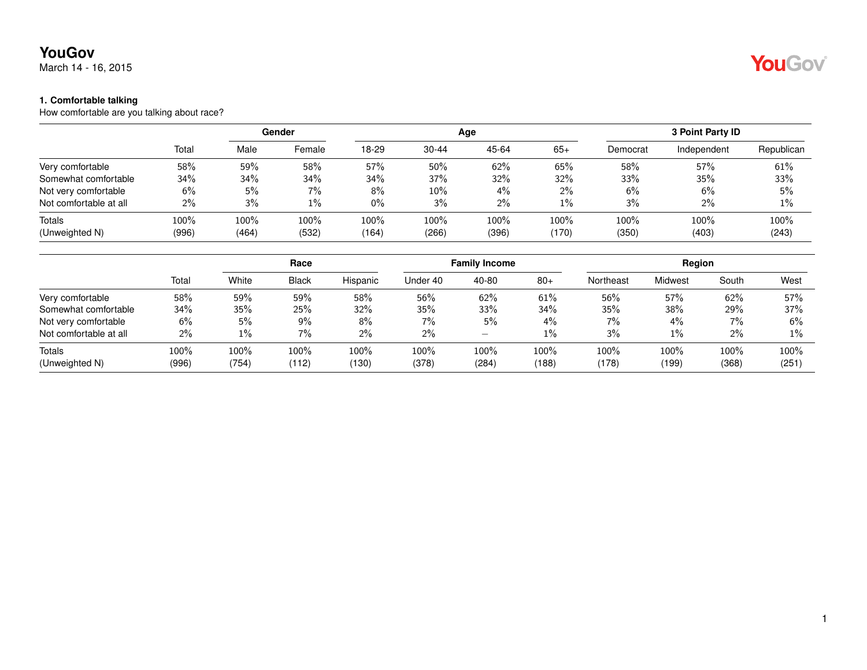March 14 - 16, 2015

#### **1. Comfortable talking**

How comfortable are you talking about race?

|                        |       |       | <b>Gender</b> |       |           | Age     |       |          | 3 Point Party ID |            |
|------------------------|-------|-------|---------------|-------|-----------|---------|-------|----------|------------------|------------|
|                        | Total | Male  | Female        | 18-29 | $30 - 44$ | 45-64   | $65+$ | Democrat | Independent      | Republican |
| Very comfortable       | 58%   | 59%   | 58%           | 57%   | 50%       | 62%     | 65%   | 58%      | 57%              | 61%        |
| Somewhat comfortable   | 34%   | 34%   | 34%           | 34%   | 37%       | 32%     | 32%   | 33%      | 35%              | 33%        |
| Not very comfortable   | 6%    | 5%    | 7%            | 8%    | $10\%$    | $4\%$   | $2\%$ | 6%       | 6%               | 5%         |
| Not comfortable at all | 2%    | 3%    | $1\%$         | $0\%$ | 3%        | $2\%$   | $1\%$ | 3%       | 2%               | 1%         |
| Totals                 | 100%  | 100%  | 100%          | 100%  | $100\%$   | $100\%$ | 100%  | 100%     | 100%             | 100%       |
| (Unweighted N)         | (996) | (464) | (532)         | (164) | (266)     | (396)   | (170) | (350)    | (403)            | (243)      |

|                        |       | Race  |              |          | <b>Family Income</b> |       |       | Region    |                |       |       |
|------------------------|-------|-------|--------------|----------|----------------------|-------|-------|-----------|----------------|-------|-------|
|                        | Total | White | <b>Black</b> | Hispanic | Under 40             | 40-80 | $80+$ | Northeast | <b>Midwest</b> | South | West  |
| Very comfortable       | 58%   | 59%   | 59%          | 58%      | 56%                  | 62%   | 61%   | 56%       | 57%            | 62%   | 57%   |
| Somewhat comfortable   | 34%   | 35%   | 25%          | 32%      | 35%                  | 33%   | 34%   | 35%       | 38%            | 29%   | 37%   |
| Not very comfortable   | 6%    | 5%    | $9\%$        | 8%       | $7\%$                | 5%    | $4\%$ | 7%        | $4\%$          | $7\%$ | $6\%$ |
| Not comfortable at all | 2%    | 1%    | 7%           | $2\%$    | $2\%$                | –     | $1\%$ | 3%        | $1\%$          | $2\%$ | $1\%$ |
| Totals                 | 100%  | 100%  | 100%         | 100%     | 100%                 | 100%  | 100%  | 100%      | 100%           | 100%  | 100%  |
| (Unweighted N)         | (996) | (754) | (112)        | (130)    | (378)                | (284) | (188) | (178)     | (199)          | (368) | (251) |

YouGov®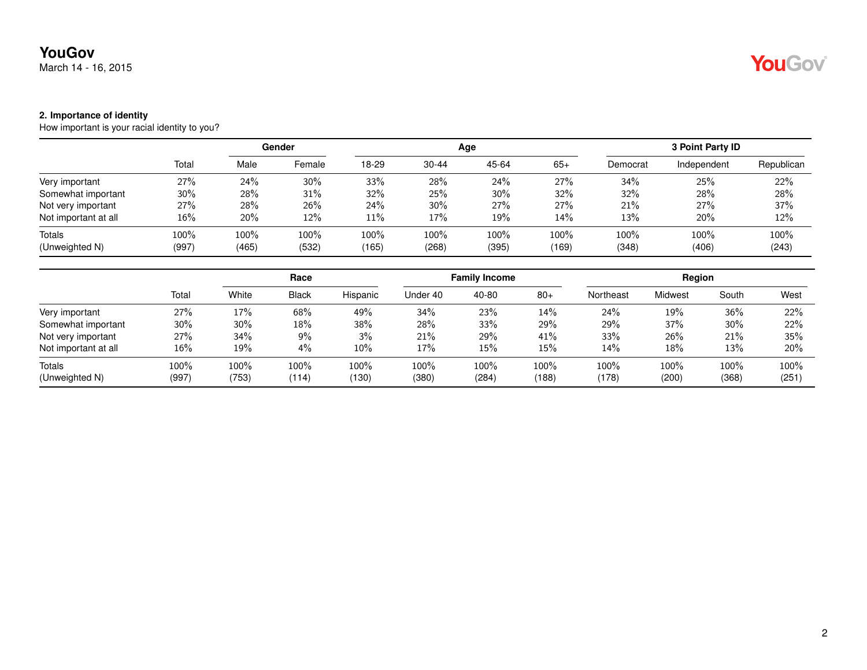March 14 - 16, 2015

# YouGov®

#### **2. Importance of identity**

How important is your racial identity to you?

|                      |       |       | Gender |       |           | Age   | 3 Point Party ID |          |             |            |
|----------------------|-------|-------|--------|-------|-----------|-------|------------------|----------|-------------|------------|
|                      | Total | Male  | Female | 18-29 | $30 - 44$ | 45-64 | $65+$            | Democrat | Independent | Republican |
| Very important       | 27%   | 24%   | 30%    | 33%   | 28%       | 24%   | 27%              | 34%      | 25%         | 22%        |
| Somewhat important   | 30%   | 28%   | 31%    | 32%   | 25%       | 30%   | 32%              | 32%      | 28%         | 28%        |
| Not very important   | 27%   | 28%   | 26%    | 24%   | 30%       | 27%   | 27%              | 21%      | 27%         | 37%        |
| Not important at all | 16%   | 20%   | 12%    | 11%   | 17%       | 19%   | 14%              | 13%      | 20%         | 12%        |
| Totals               | 100%  | 100%  | 100%   | 100%  | 100%      | 100%  | 100%             | 100%     | 100%        | 100%       |
| (Unweighted N)       | (997) | (465) | (532)  | (165) | (268)     | (395) | (169)            | (348)    | (406)       | (243)      |

|                      |       | Race   |       |          | <b>Family Income</b> |       |       | Region    |         |       |       |
|----------------------|-------|--------|-------|----------|----------------------|-------|-------|-----------|---------|-------|-------|
|                      | Total | White  | Black | Hispanic | Under 40             | 40-80 | $80+$ | Northeast | Midwest | South | West  |
| Very important       | 27%   | 17%    | 68%   | 49%      | 34%                  | 23%   | 14%   | 24%       | 19%     | 36%   | 22%   |
| Somewhat important   | 30%   | $30\%$ | 18%   | 38%      | 28%                  | 33%   | 29%   | 29%       | 37%     | 30%   | 22%   |
| Not very important   | 27%   | 34%    | 9%    | 3%       | 21%                  | 29%   | 41%   | 33%       | 26%     | 21%   | 35%   |
| Not important at all | 16%   | 19%    | 4%    | 10%      | 17%                  | 15%   | 15%   | 14%       | 18%     | 13%   | 20%   |
| Totals               | 100%  | 100%   | 100%  | 100%     | 100%                 | 100%  | 100%  | 100%      | 100%    | 100%  | 100%  |
| (Unweighted N)       | (997) | (753)  | (114) | (130)    | (380)                | (284) | (188) | (178)     | (200)   | (368) | (251) |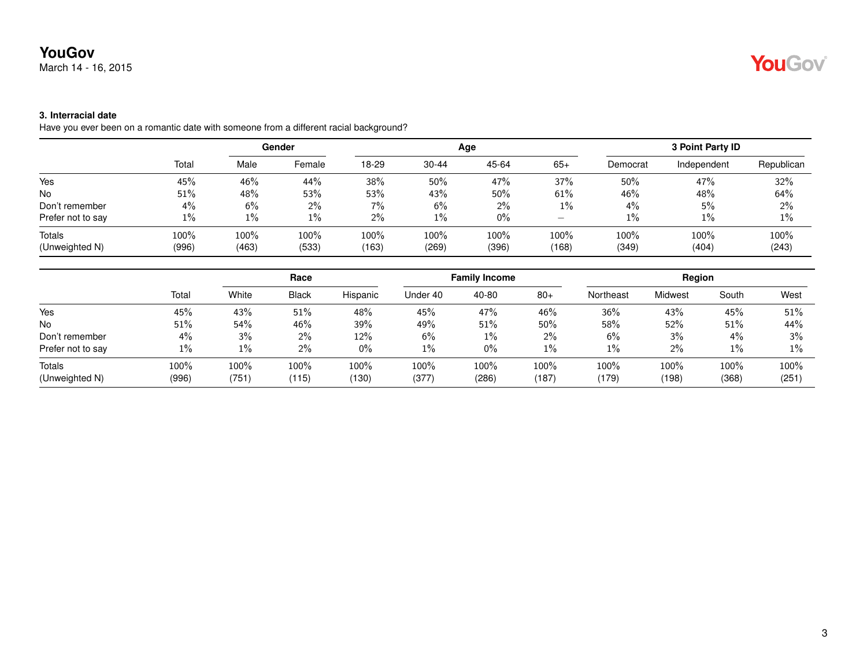March 14 - 16, 2015

# YouGov

### **3. Interracial date**

Have you ever been on a romantic date with someone from a different racial background?

|                   |       |       | Gender |       |           | Age   | 3 Point Party ID                      |          |             |            |
|-------------------|-------|-------|--------|-------|-----------|-------|---------------------------------------|----------|-------------|------------|
|                   | Total | Male  | Female | 18-29 | $30 - 44$ | 45-64 | $65+$                                 | Democrat | Independent | Republican |
| Yes               | 45%   | 46%   | 44%    | 38%   | 50%       | 47%   | 37%                                   | 50%      | 47%         | 32%        |
| <b>No</b>         | 51%   | 48%   | 53%    | 53%   | 43%       | 50%   | 61%                                   | 46%      | 48%         | 64%        |
| Don't remember    | $4\%$ | 6%    | $2\%$  | 7%    | 6%        | 2%    | $1\%$                                 | 4%       | 5%          | 2%         |
| Prefer not to say | 1%    | 1%    | 1%     | 2%    | $1\%$     | $0\%$ | $\hspace{1.0cm} \rule{1.5cm}{0.15cm}$ | $1\%$    | $1\%$       | 1%         |
| Totals            | 100%  | 100%  | 100%   | 100%  | 100%      | 100%  | 100%                                  | 100%     | 100%        | 100%       |
| (Unweighted N)    | (996) | (463) | (533)  | (163) | (269)     | (396) | (168)                                 | (349)    | (404)       | (243)      |

|                          |               | Race             |                  |               | <b>Family Income</b> |               |               | Region        |               |               |               |
|--------------------------|---------------|------------------|------------------|---------------|----------------------|---------------|---------------|---------------|---------------|---------------|---------------|
|                          | Total         | White            | <b>Black</b>     | Hispanic      | Under 40             | 40-80         | $80+$         | Northeast     | Midwest       | South         | West          |
| Yes                      | 45%           | 43%              | 51%              | 48%           | 45%                  | 47%           | 46%           | 36%           | 43%           | 45%           | 51%           |
| <b>No</b>                | 51%           | 54%              | 46%              | 39%           | 49%                  | 51%           | 50%           | 58%           | 52%           | 51%           | 44%           |
| Don't remember           | 4%            | 3%               | $2\%$            | 12%           | 6%                   | $1\%$         | 2%            | 6%            | 3%            | 4%            | 3%            |
| Prefer not to say        | $1\%$         | $1\%$            | $2\%$            | 0%            | $1\%$                | $0\%$         | 1%            | 1%            | 2%            | $1\%$         | $1\%$         |
| Totals<br>(Unweighted N) | 100%<br>(996) | $100\%$<br>(751) | $100\%$<br>(115) | 100%<br>(130) | 100%<br>(377)        | 100%<br>(286) | 100%<br>(187) | 100%<br>(179) | 100%<br>(198) | 100%<br>(368) | 100%<br>(251) |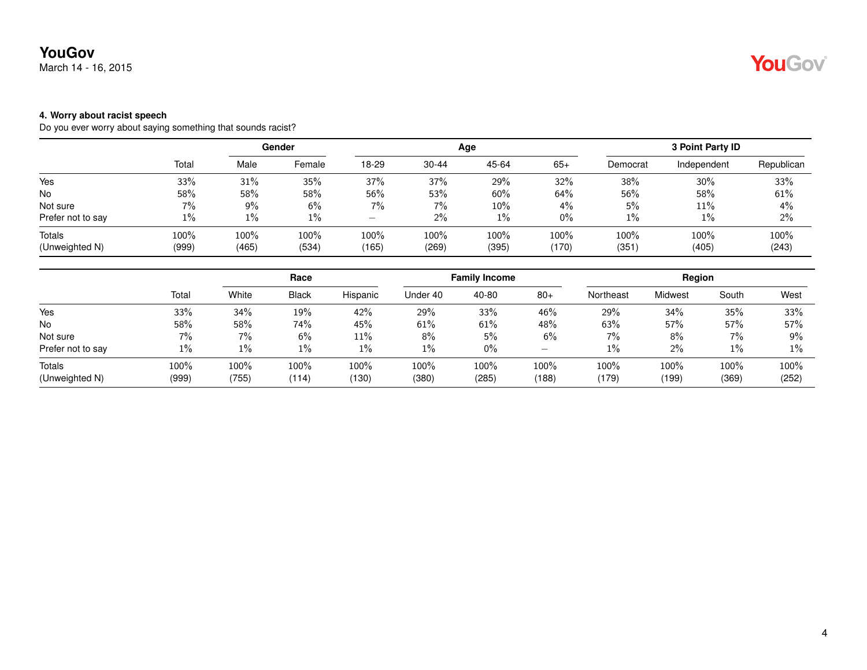March 14 - 16, 2015

#### **4. Worry about racist speech**

Do you ever worry about saying something that sounds racist?

|                   |       | Gender |        |       |           | Age    | 3 Point Party ID |          |             |            |
|-------------------|-------|--------|--------|-------|-----------|--------|------------------|----------|-------------|------------|
|                   | Total | Male   | Female | 18-29 | $30 - 44$ | 45-64  | $65+$            | Democrat | Independent | Republican |
| Yes               | 33%   | 31%    | 35%    | 37%   | 37%       | 29%    | 32%              | 38%      | 30%         | 33%        |
| No                | 58%   | 58%    | 58%    | 56%   | 53%       | 60%    | 64%              | 56%      | 58%         | 61%        |
| Not sure          | 7%    | 9%     | 6%     | $7\%$ | 7%        | $10\%$ | $4\%$            | 5%       | 11%         | 4%         |
| Prefer not to say | $1\%$ | 1%     | 1%     | —     | $2\%$     | $1\%$  | $0\%$            | $1\%$    | 1%          | 2%         |
| Totals            | 100%  | 100%   | 100%   | 100%  | 100%      | 100%   | 100%             | 100%     | 100%        | 100%       |
| (Unweighted N)    | (999) | (465)  | (534)  | (165) | (269)     | (395)  | (170)            | (351)    | (405)       | (243)      |

|                   |       |       | Race         |          |          | <b>Family Income</b> |                          |           | Region  |       |       |  |
|-------------------|-------|-------|--------------|----------|----------|----------------------|--------------------------|-----------|---------|-------|-------|--|
|                   | Total | White | <b>Black</b> | Hispanic | Under 40 | 40-80                | $80+$                    | Northeast | Midwest | South | West  |  |
| Yes               | 33%   | 34%   | 19%          | 42%      | 29%      | 33%                  | 46%                      | 29%       | 34%     | 35%   | 33%   |  |
| <b>No</b>         | 58%   | 58%   | 74%          | 45%      | 61%      | 61%                  | 48%                      | 63%       | 57%     | 57%   | 57%   |  |
| Not sure          | 7%    | $7\%$ | 6%           | 11%      | 8%       | 5%                   | 6%                       | 7%        | 8%      | $7\%$ | 9%    |  |
| Prefer not to say | 1%    | $1\%$ | $1\%$        | $1\%$    | $1\%$    | $0\%$                | $\overline{\phantom{0}}$ | $1\%$     | 2%      | $1\%$ | $1\%$ |  |
| <b>Totals</b>     | 100%  | 100%  | 100%         | 100%     | 100%     | 100%                 | 100%                     | 100%      | 100%    | 100%  | 100%  |  |
| (Unweighted N)    | (999) | (755) | (114)        | (130)    | (380)    | (285)                | (188)                    | (179)     | (199)   | (369) | (252) |  |

# YouGov®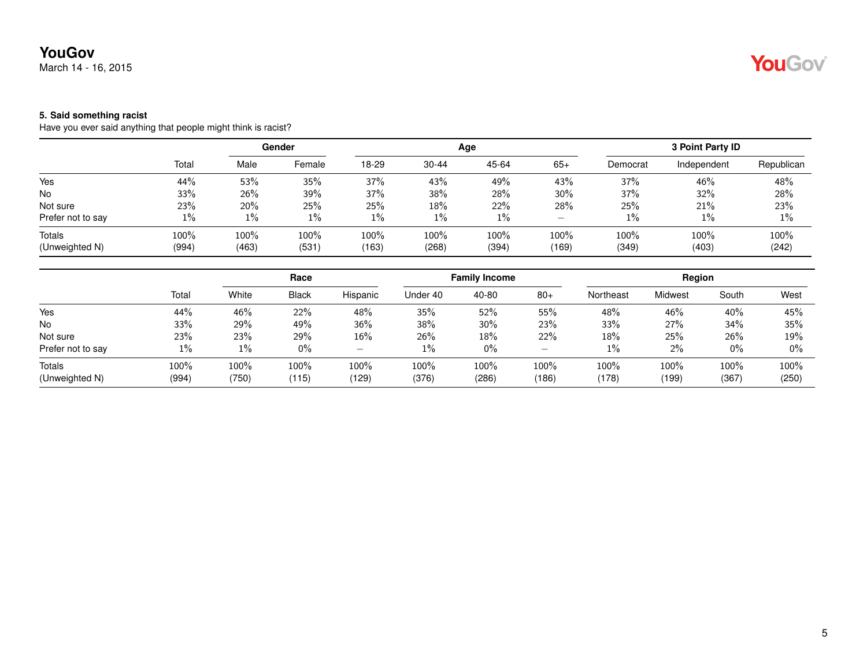March 14 - 16, 2015

#### **5. Said something racist**

Have you ever said anything that people might think is racist?

|                   |       |       | Gender |       |           | Age   | 3 Point Party ID |          |             |            |
|-------------------|-------|-------|--------|-------|-----------|-------|------------------|----------|-------------|------------|
|                   | Total | Male  | Female | 18-29 | $30 - 44$ | 45-64 | $65+$            | Democrat | Independent | Republican |
| Yes               | 44%   | 53%   | 35%    | 37%   | 43%       | 49%   | 43%              | 37%      | 46%         | 48%        |
| <b>No</b>         | 33%   | 26%   | 39%    | 37%   | 38%       | 28%   | $30\%$           | 37%      | 32%         | 28%        |
| Not sure          | 23%   | 20%   | 25%    | 25%   | 18%       | 22%   | 28%              | 25%      | 21%         | 23%        |
| Prefer not to say | $1\%$ | $1\%$ | 1%     | $1\%$ | $1\%$     | $1\%$ | -                | $1\%$    | $1\%$       | 1%         |
| Totals            | 100%  | 100%  | 100%   | 100%  | 100%      | 100%  | $100\%$          | 100%     | 100%        | 100%       |
| (Unweighted N)    | (994) | (463) | (531)  | (163) | (268)     | (394) | (169)            | (349)    | (403)       | (242)      |

|                   |       | Race  |              |          | <b>Family Income</b> |        |                          | Region    |                |       |       |
|-------------------|-------|-------|--------------|----------|----------------------|--------|--------------------------|-----------|----------------|-------|-------|
|                   | Total | White | <b>Black</b> | Hispanic | Under 40             | 40-80  | $80+$                    | Northeast | <b>Midwest</b> | South | West  |
| Yes               | 44%   | 46%   | 22%          | 48%      | 35%                  | 52%    | 55%                      | 48%       | 46%            | 40%   | 45%   |
| No                | 33%   | 29%   | 49%          | 36%      | 38%                  | $30\%$ | 23%                      | 33%       | 27%            | 34%   | 35%   |
| Not sure          | 23%   | 23%   | 29%          | 16%      | 26%                  | $18\%$ | 22%                      | 18%       | 25%            | 26%   | 19%   |
| Prefer not to say | $1\%$ | $1\%$ | $0\%$        | -        | $1\%$                | $0\%$  | $\overline{\phantom{0}}$ | $1\%$     | $2\%$          | $0\%$ | $0\%$ |
| Totals            | 100%  | 100%  | 100%         | 100%     | 100%                 | 100%   | 100%                     | 100%      | 100%           | 100%  | 100%  |
| (Unweighted N)    | (994) | (750) | (115)        | (129)    | (376)                | (286)  | (186)                    | (178)     | (199)          | (367) | (250) |

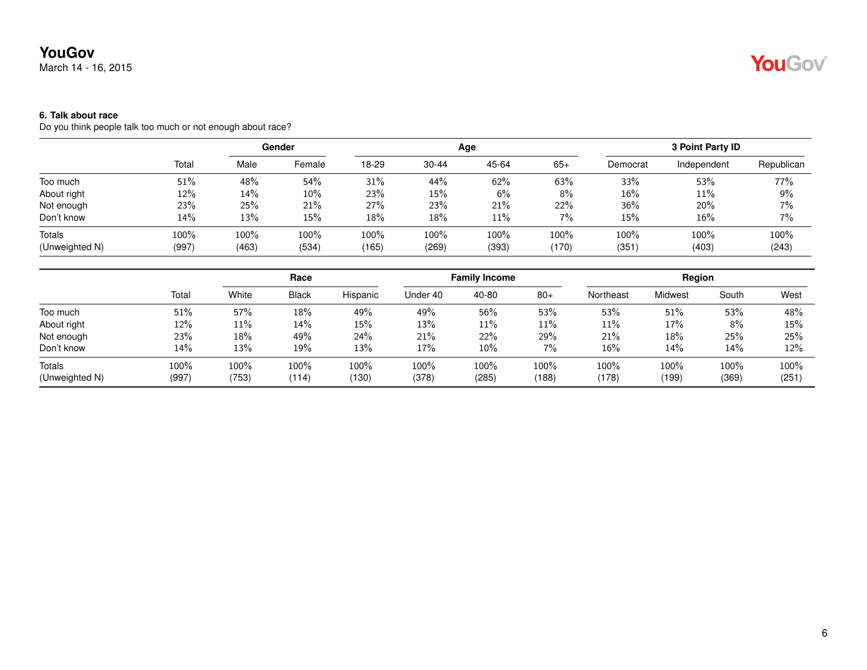March 14 - 16, 2015

### **6. Talk about race**

Do you think people talk too much or not enough about race?

|                |       | Gender |        |       |           | Age   | 3 Point Party ID |          |             |            |
|----------------|-------|--------|--------|-------|-----------|-------|------------------|----------|-------------|------------|
|                | Total | Male   | Female | 18-29 | $30 - 44$ | 45-64 | $65+$            | Democrat | Independent | Republican |
| Too much       | 51%   | 48%    | 54%    | 31%   | 44%       | 62%   | 63%              | 33%      | 53%         | 77%        |
| About right    | 12%   | 14%    | $10\%$ | 23%   | 15%       | 6%    | 8%               | 16%      | 11%         | $9\%$      |
| Not enough     | 23%   | 25%    | 21%    | 27%   | 23%       | 21%   | 22%              | 36%      | 20%         | 7%         |
| Don't know     | 14%   | 13%    | 15%    | 18%   | 18%       | 11%   | $7\%$            | 15%      | 16%         | 7%         |
| Totals         | 100%  | 100%   | 100%   | 100%  | 100%      | 100%  | 100%             | 100%     | 100%        | 100%       |
| (Unweighted N) | (997) | (463)  | (534)  | (165) | (269)     | (393) | (170)            | (351)    | (403)       | (243)      |

|                |       | Race   |              |          | <b>Family Income</b> |        |       | Region    |         |       |       |
|----------------|-------|--------|--------------|----------|----------------------|--------|-------|-----------|---------|-------|-------|
|                | Total | White  | <b>Black</b> | Hispanic | Under 40             | 40-80  | $80+$ | Northeast | Midwest | South | West  |
| Too much       | 51%   | 57%    | 18%          | 49%      | 49%                  | 56%    | 53%   | 53%       | 51%     | 53%   | 48%   |
| About right    | 12%   | $11\%$ | 14%          | 15%      | 13%                  | 11%    | 11%   | 11%       | 17%     | $8\%$ | 15%   |
| Not enough     | 23%   | 18%    | 49%          | 24%      | 21%                  | 22%    | 29%   | 21%       | 18%     | 25%   | 25%   |
| Don't know     | 14%   | 13%    | 19%          | 13%      | 17%                  | $10\%$ | 7%    | 16%       | 14%     | 14%   | 12%   |
| Totals         | 100%  | 100%   | 100%         | 100%     | 100%                 | 100%   | 100%  | 100%      | 100%    | 100%  | 100%  |
| (Unweighted N) | (997) | (753)  | (114)        | (130)    | (378)                | (285)  | (188) | (178)     | (199)   | (369) | (251) |

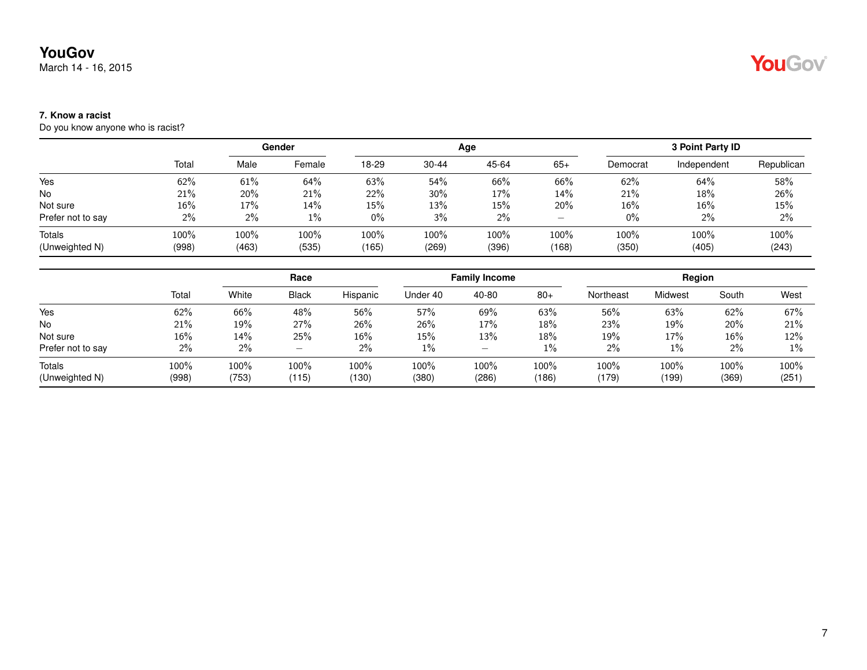March 14 - 16, 2015

# YouGov®

### **7. Know a racist**

Do you know anyone who is racist?

|                   | Total | Gender |        |       |       | Age   | 3 Point Party ID |          |             |            |
|-------------------|-------|--------|--------|-------|-------|-------|------------------|----------|-------------|------------|
|                   |       | Male   | Female | 18-29 | 30-44 | 45-64 | $65+$            | Democrat | Independent | Republican |
| Yes               | 62%   | 61%    | 64%    | 63%   | 54%   | 66%   | 66%              | 62%      | 64%         | 58%        |
| <b>No</b>         | 21%   | 20%    | 21%    | 22%   | 30%   | 17%   | 14%              | 21%      | 18%         | 26%        |
| Not sure          | 16%   | 17%    | 14%    | 15%   | 13%   | 15%   | 20%              | 16%      | 16%         | 15%        |
| Prefer not to say | 2%    | $2\%$  | $1\%$  | $0\%$ | 3%    | 2%    | -                | $0\%$    | $2\%$       | 2%         |
| Totals            | 100%  | 100%   | 100%   | 100%  | 100%  | 100%  | 100%             | 100%     | 100%        | 100%       |
| (Unweighted N)    | (998) | (463)  | (535)  | (165) | (269) | (396) | (168)            | (350)    | (405)       | (243)      |

|                   |        | Race  |                          |          | <b>Family Income</b> |       |       | Region    |         |       |       |
|-------------------|--------|-------|--------------------------|----------|----------------------|-------|-------|-----------|---------|-------|-------|
|                   | Total  | White | <b>Black</b>             | Hispanic | Under 40             | 40-80 | $80+$ | Northeast | Midwest | South | West  |
| Yes               | 62%    | 66%   | 48%                      | 56%      | 57%                  | 69%   | 63%   | 56%       | 63%     | 62%   | 67%   |
| No                | 21%    | 19%   | 27%                      | 26%      | 26%                  | 17%   | 18%   | 23%       | 19%     | 20%   | 21%   |
| Not sure          | $16\%$ | 14%   | 25%                      | 16%      | 15%                  | 13%   | 18%   | 19%       | 17%     | 16%   | 12%   |
| Prefer not to say | 2%     | 2%    | $\overline{\phantom{0}}$ | 2%       | $1\%$                | –     | $1\%$ | 2%        | 1%      | 2%    | 1%    |
| <b>Totals</b>     | 100%   | 100%  | 100%                     | 100%     | 100%                 | 100%  | 100%  | 100%      | 100%    | 100%  | 100%  |
| (Unweighted N)    | (998)  | (753) | (115)                    | (130)    | (380)                | (286) | (186) | (179)     | (199)   | (369) | (251) |